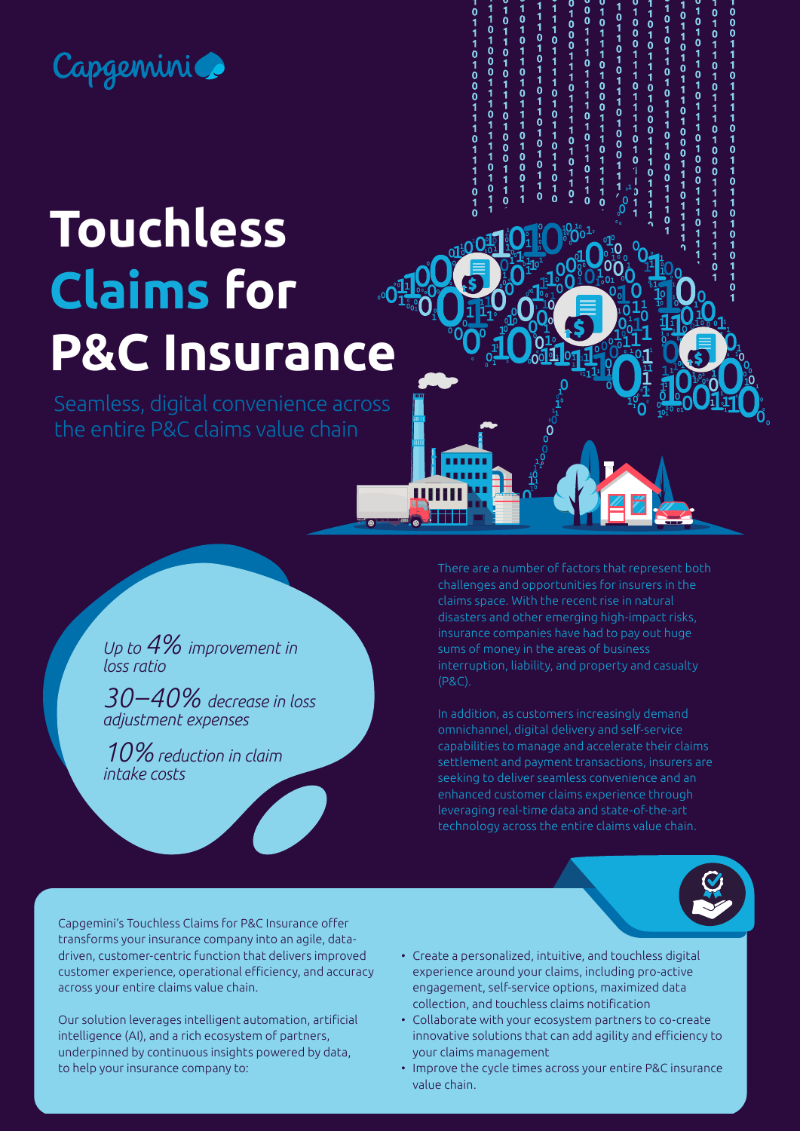## Capgemini

 $01010$  $\begin{array}{c}\n0 \\
1 \\
0 \\
1\n\end{array}$  $\frac{1}{0}$  $\frac{1}{0}$ <br> $\frac{0}{4}$ 1<br>0  $\frac{1}{0}$ 11101000  $\begin{matrix}0\\0\end{matrix}$  $\mathbf{0}$ 1<br>0<br>0<br>0  $1010$  $\begin{array}{c} 1 \\ 0 \end{array}$  $\dot{0}$  $\begin{array}{c} 0 \\ 1 \\ 0 \end{array}$ 

# **Touchless Claims for P&C Insurance**

Seamless, digital convenience across the entire P&C claims value chain

> *Up to 4% improvement in loss ratio*

*30–40% decrease in loss adjustment expenses* 

*10% reduction in claim intake costs* 

There are a number of factors that represent both challenges and opportunities for insurers in the claims space. With the recent rise in natural disasters and other emerging high-impact risks, insurance companies have had to pay out huge sums of money in the areas of business interruption, liability, and property and casualty (P&C).

In addition, as customers increasingly demand omnichannel, digital delivery and self-service capabilities to manage and accelerate their claims settlement and payment transactions, insurers are seeking to deliver seamless convenience and an enhanced customer claims experience through leveraging real-time data and state-of-the-art technology across the entire claims value chain.

Capgemini's Touchless Claims for P&C Insurance offer transforms your insurance company into an agile, datadriven, customer-centric function that delivers improved customer experience, operational efficiency, and accuracy across your entire claims value chain.

Our solution leverages intelligent automation, artificial intelligence (AI), and a rich ecosystem of partners, underpinned by continuous insights powered by data, to help your insurance company to:

- Create a personalized, intuitive, and touchless digital experience around your claims, including pro-active engagement, self-service options, maximized data collection, and touchless claims notification
- Collaborate with your ecosystem partners to co-create innovative solutions that can add agility and efficiency to your claims management
- Improve the cycle times across your entire P&C insurance value chain.